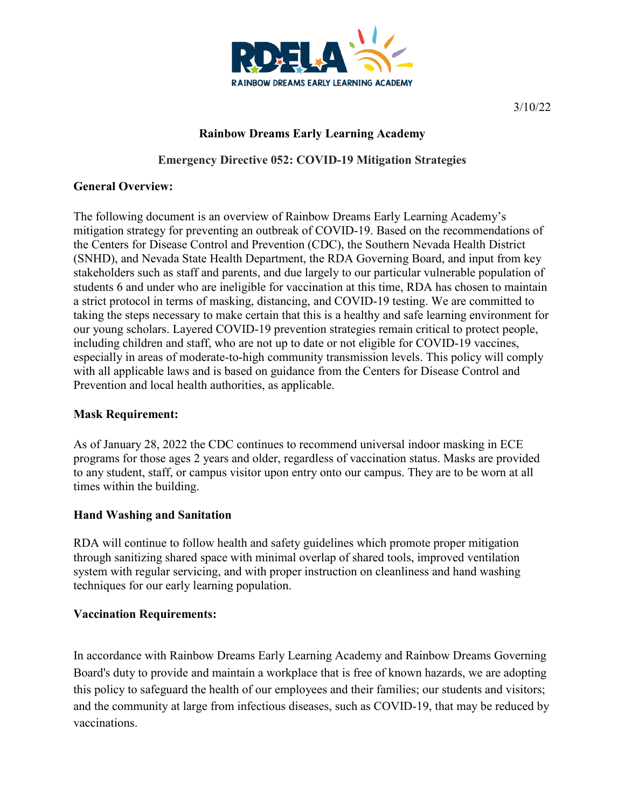

3/10/22

# **Rainbow Dreams Early Learning Academy**

**Emergency Directive 052: COVID-19 Mitigation Strategies**

#### **General Overview:**

The following document is an overview of Rainbow Dreams Early Learning Academy's mitigation strategy for preventing an outbreak of COVID-19. Based on the recommendations of the Centers for Disease Control and Prevention (CDC), the Southern Nevada Health District (SNHD), and Nevada State Health Department, the RDA Governing Board, and input from key stakeholders such as staff and parents, and due largely to our particular vulnerable population of students 6 and under who are ineligible for vaccination at this time, RDA has chosen to maintain a strict protocol in terms of masking, distancing, and COVID-19 testing. We are committed to taking the steps necessary to make certain that this is a healthy and safe learning environment for our young scholars. Layered COVID-19 prevention strategies remain critical to protect people, including children and staff, who are not up to date or not eligible for COVID-19 vaccines, especially in areas of moderate-to-high community transmission levels. This policy will comply with all applicable laws and is based on guidance from the Centers for Disease Control and Prevention and local health authorities, as applicable.

#### **Mask Requirement:**

As of January 28, 2022 the CDC continues to recommend universal indoor masking in ECE programs for those ages 2 years and older, regardless of vaccination status. Masks are provided to any student, staff, or campus visitor upon entry onto our campus. They are to be worn at all times within the building.

#### **Hand Washing and Sanitation**

RDA will continue to follow health and safety guidelines which promote proper mitigation through sanitizing shared space with minimal overlap of shared tools, improved ventilation system with regular servicing, and with proper instruction on cleanliness and hand washing techniques for our early learning population.

#### **Vaccination Requirements:**

In accordance with Rainbow Dreams Early Learning Academy and Rainbow Dreams Governing Board's duty to provide and maintain a workplace that is free of known hazards, we are adopting this policy to safeguard the health of our employees and their families; our students and visitors; and the community at large from infectious diseases, such as COVID-19, that may be reduced by vaccinations.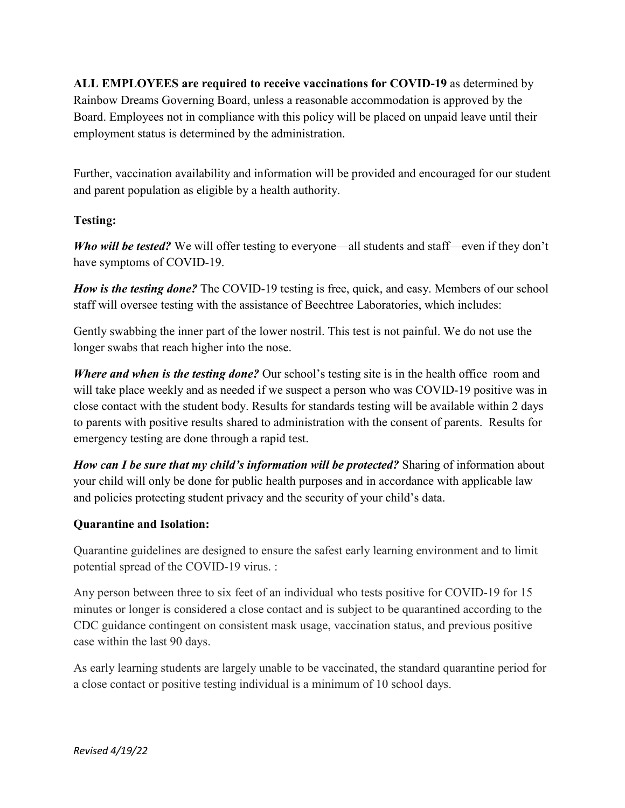**ALL EMPLOYEES are required to receive vaccinations for COVID-19** as determined by Rainbow Dreams Governing Board, unless a reasonable accommodation is approved by the Board. Employees not in compliance with this policy will be placed on unpaid leave until their employment status is determined by the administration.

Further, vaccination availability and information will be provided and encouraged for our student and parent population as eligible by a health authority.

## **Testing:**

*Who will be tested?* We will offer testing to everyone—all students and staff—even if they don't have symptoms of COVID-19.

*How is the testing done?* The COVID-19 testing is free, quick, and easy. Members of our school staff will oversee testing with the assistance of Beechtree Laboratories, which includes:

Gently swabbing the inner part of the lower nostril. This test is not painful. We do not use the longer swabs that reach higher into the nose.

*Where and when is the testing done?* Our school's testing site is in the health office room and will take place weekly and as needed if we suspect a person who was COVID-19 positive was in close contact with the student body. Results for standards testing will be available within 2 days to parents with positive results shared to administration with the consent of parents. Results for emergency testing are done through a rapid test.

*How can I be sure that my child's information will be protected?* Sharing of information about your child will only be done for public health purposes and in accordance with applicable law and policies protecting student privacy and the security of your child's data.

#### **Quarantine and Isolation:**

Quarantine guidelines are designed to ensure the safest early learning environment and to limit potential spread of the COVID-19 virus. :

Any person between three to six feet of an individual who tests positive for COVID-19 for 15 minutes or longer is considered a close contact and is subject to be quarantined according to the CDC guidance contingent on consistent mask usage, vaccination status, and previous positive case within the last 90 days.

As early learning students are largely unable to be vaccinated, the standard quarantine period for a close contact or positive testing individual is a minimum of 10 school days.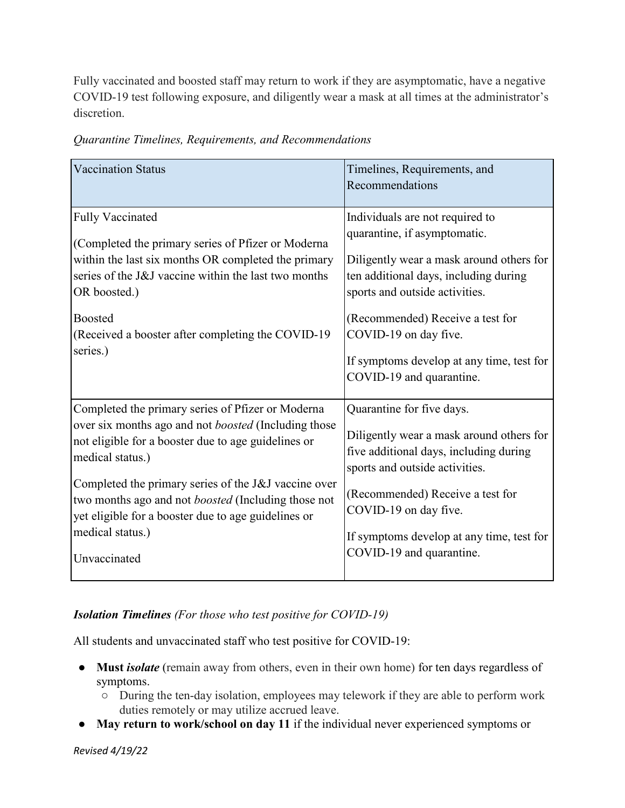Fully vaccinated and boosted staff may return to work if they are asymptomatic, have a negative COVID-19 test following exposure, and diligently wear a mask at all times at the administrator's discretion.

| <b>Vaccination Status</b>                                                                                                                                                                                                                                                                                                                                                                             | Timelines, Requirements, and<br>Recommendations                                                                                                                                                                                                                                                                              |
|-------------------------------------------------------------------------------------------------------------------------------------------------------------------------------------------------------------------------------------------------------------------------------------------------------------------------------------------------------------------------------------------------------|------------------------------------------------------------------------------------------------------------------------------------------------------------------------------------------------------------------------------------------------------------------------------------------------------------------------------|
| <b>Fully Vaccinated</b><br>(Completed the primary series of Pfizer or Moderna<br>within the last six months OR completed the primary<br>series of the J&J vaccine within the last two months<br>OR boosted.)<br>Boosted<br>(Received a booster after completing the COVID-19<br>series.)                                                                                                              | Individuals are not required to<br>quarantine, if asymptomatic.<br>Diligently wear a mask around others for<br>ten additional days, including during<br>sports and outside activities.<br>(Recommended) Receive a test for<br>COVID-19 on day five.<br>If symptoms develop at any time, test for<br>COVID-19 and quarantine. |
| Completed the primary series of Pfizer or Moderna<br>over six months ago and not boosted (Including those<br>not eligible for a booster due to age guidelines or<br>medical status.)<br>Completed the primary series of the J&J vaccine over<br>two months ago and not <i>boosted</i> (Including those not<br>yet eligible for a booster due to age guidelines or<br>medical status.)<br>Unvaccinated | Quarantine for five days.<br>Diligently wear a mask around others for<br>five additional days, including during<br>sports and outside activities.<br>(Recommended) Receive a test for<br>COVID-19 on day five.<br>If symptoms develop at any time, test for<br>COVID-19 and quarantine.                                      |

*Quarantine Timelines, Requirements, and Recommendations* 

# *Isolation Timelines (For those who test positive for COVID-19)*

All students and unvaccinated staff who test positive for COVID-19:

- Must *isolate* (remain away from others, even in their own home) for ten days regardless of symptoms.
	- During the ten-day isolation, employees may telework if they are able to perform work duties remotely or may utilize accrued leave.
- **May return to work/school on day 11** if the individual never experienced symptoms or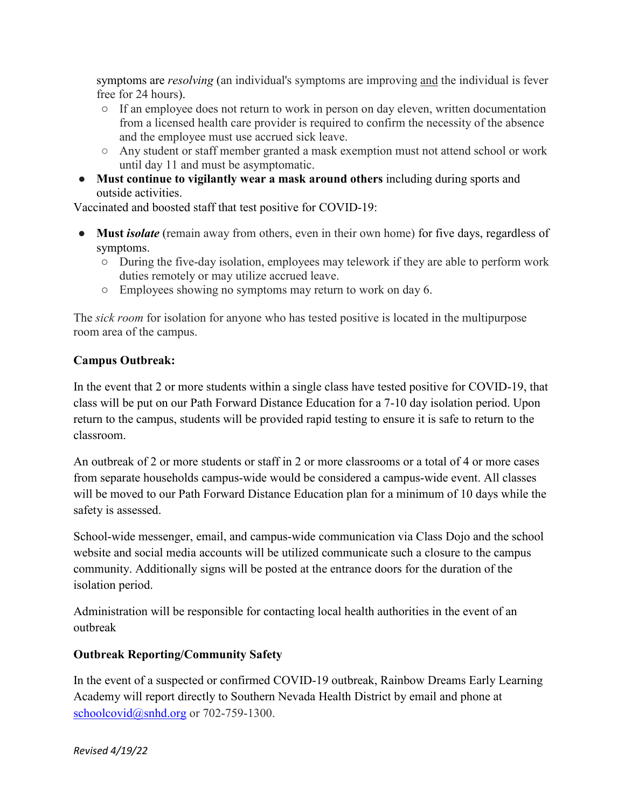symptoms are *resolving* (an individual's symptoms are improving and the individual is fever free for 24 hours).

- If an employee does not return to work in person on day eleven, written documentation from a licensed health care provider is required to confirm the necessity of the absence and the employee must use accrued sick leave.
- Any student or staff member granted a mask exemption must not attend school or work until day 11 and must be asymptomatic.
- **Must continue to vigilantly wear a mask around others** including during sports and outside activities.

Vaccinated and boosted staff that test positive for COVID-19:

- Must *isolate* (remain away from others, even in their own home) for five days, regardless of symptoms.
	- During the five-day isolation, employees may telework if they are able to perform work duties remotely or may utilize accrued leave.
	- Employees showing no symptoms may return to work on day 6.

The *sick room* for isolation for anyone who has tested positive is located in the multipurpose room area of the campus.

# **Campus Outbreak:**

In the event that 2 or more students within a single class have tested positive for COVID-19, that class will be put on our Path Forward Distance Education for a 7-10 day isolation period. Upon return to the campus, students will be provided rapid testing to ensure it is safe to return to the classroom.

An outbreak of 2 or more students or staff in 2 or more classrooms or a total of 4 or more cases from separate households campus-wide would be considered a campus-wide event. All classes will be moved to our Path Forward Distance Education plan for a minimum of 10 days while the safety is assessed.

School-wide messenger, email, and campus-wide communication via Class Dojo and the school website and social media accounts will be utilized communicate such a closure to the campus community. Additionally signs will be posted at the entrance doors for the duration of the isolation period.

Administration will be responsible for contacting local health authorities in the event of an outbreak

# **Outbreak Reporting/Community Safety**

In the event of a suspected or confirmed COVID-19 outbreak, Rainbow Dreams Early Learning Academy will report directly to Southern Nevada Health District by email and phone at schoolcovid@snhd.org or 702-759-1300.